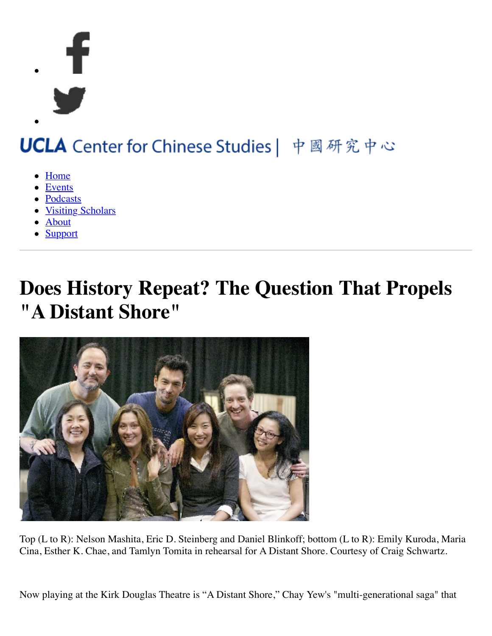

# UCLA Center for Chinese Studies | 中國研究中心

- [Home](https://www.international.ucla.edu/ccs/home)
- [Events](https://www.international.ucla.edu/ccs/events)
- [Podcasts](https://www.international.ucla.edu/ccs/podcasts)
- [Visiting Scholars](https://www.international.ucla.edu/ccs/visitingscholars)
- [About](https://www.international.ucla.edu/ccs/about)
- [Support](https://www.international.ucla.edu/ccs/support)

## **Does History Repeat? The Question That Propels "A Distant Shore"**



Top (L to R): Nelson Mashita, Eric D. Steinberg and Daniel Blinkoff; bottom (L to R): Emily Kuroda, Maria Cina, Esther K. Chae, and Tamlyn Tomita in rehearsal for A Distant Shore. Courtesy of Craig Schwartz.

Now playing at the Kirk Douglas Theatre is "A Distant Shore," Chay Yew's "multi-generational saga" that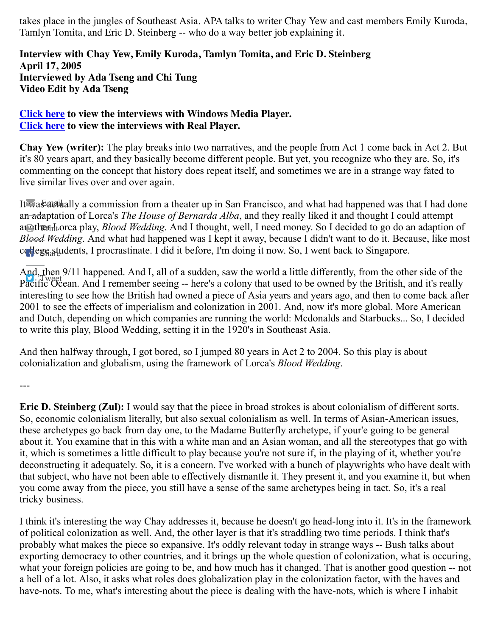takes place in the jungles of Southeast Asia. APA talks to writer Chay Yew and cast members Emily Kuroda, Tamlyn Tomita, and Eric D. Steinberg -- who do a way better job explaining it.

#### **Interview with Chay Yew, Emily Kuroda, Tamlyn Tomita, and Eric D. Steinberg April 17, 2005 Interviewed by Ada Tseng and Chi Tung Video Edit by Ada Tseng**

#### **[Click here](http://www.asiaarts.ucla.edu/050512/distantshore.asx) to view the interviews with Windows Media Player. [Click here](http://www.asiaarts.ucla.edu/050512/distantshore.ram) to view the interviews with Real Player.**

**Chay Yew (writer):** The play breaks into two narratives, and the people from Act 1 come back in Act 2. But it's 80 years apart, and they basically become different people. But yet, you recognize who they are. So, it's commenting on the concept that history does repeat itself, and sometimes we are in a strange way fated to live similar lives over and over again.

I[t was actu](mailto:?subject=Does%20History%20Repeat?%20The%20Question%20That%20Propels%20%22A%20Distant%20Shore%22&body=I%20thought%20you%20might%20be%20interested%20in%20this%20article%20from%20the%20Asia%20Pacific%20Arts%20called%20%22Does%20History%20Repeat?%20The%20Question%20That%20Propels%20%22A%20Distant%20Shore%22%22,%20which%20can%20be%20found%20here:%20https://www.international.ucla.edu/ccs/article/24224.)ally a commission from a theater up in San Francisco, and what had happened was that I had done an adaptation of Lorca's *The House of Bernarda Alba*, and they really liked it and thought I could attempt an@thendtorca play, *Blood Wedding*. And I thought, well, I need money. So I decided to go do an adaption of *Blood Wedding*. And what had happened was I kept it away, because I didn't want to do it. Because, like most c[ollege stu](http://www.facebook.com/sharer.php?u=https://www.international.ucla.edu/ccs/article/24224)dents, I procrastinate. I did it before, I'm doing it now. So, I went back to Singapore.

And, then 9/11 happened. And I, all of a sudden, saw the world a little differently, from the other side of the Pacific Ocean. And I remember seeing -- here's a colony that used to be owned by the British, and it's really interesting to see how the British had owned a piece of Asia years and years ago, and then to come back after 2001 to see the effects of imperialism and colonization in 2001. And, now it's more global. More American and Dutch, depending on which companies are running the world: Mcdonalds and Starbucks... So, I decided to write this play, Blood Wedding, setting it in the 1920's in Southeast Asia.

And then halfway through, I got bored, so I jumped 80 years in Act 2 to 2004. So this play is about colonialization and globalism, using the framework of Lorca's *Blood Wedding*.

---

**Eric D. Steinberg (Zul):** I would say that the piece in broad strokes is about colonialism of different sorts. So, economic colonialism literally, but also sexual colonialism as well. In terms of Asian-American issues, these archetypes go back from day one, to the Madame Butterfly archetype, if your'e going to be general about it. You examine that in this with a white man and an Asian woman, and all the stereotypes that go with it, which is sometimes a little difficult to play because you're not sure if, in the playing of it, whether you're deconstructing it adequately. So, it is a concern. I've worked with a bunch of playwrights who have dealt with that subject, who have not been able to effectively dismantle it. They present it, and you examine it, but when you come away from the piece, you still have a sense of the same archetypes being in tact. So, it's a real tricky business.

I think it's interesting the way Chay addresses it, because he doesn't go head-long into it. It's in the framework of political colonization as well. And, the other layer is that it's straddling two time periods. I think that's probably what makes the piece so expansive. It's oddly relevant today in strange ways -- Bush talks about exporting democracy to other countries, and it brings up the whole question of colonization, what is occuring, what your foreign policies are going to be, and how much has it changed. That is another good question -- not a hell of a lot. Also, it asks what roles does globalization play in the colonization factor, with the haves and have-nots. To me, what's interesting about the piece is dealing with the have-nots, which is where I inhabit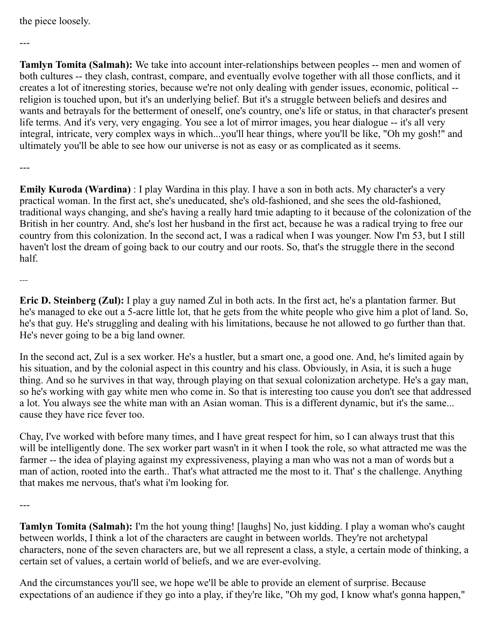#### the piece loosely.

---

**Tamlyn Tomita (Salmah):** We take into account inter-relationships between peoples -- men and women of both cultures -- they clash, contrast, compare, and eventually evolve together with all those conflicts, and it creates a lot of itneresting stories, because we're not only dealing with gender issues, economic, political - religion is touched upon, but it's an underlying belief. But it's a struggle between beliefs and desires and wants and betrayals for the betterment of oneself, one's country, one's life or status, in that character's present life terms. And it's very, very engaging. You see a lot of mirror images, you hear dialogue -- it's all very integral, intricate, very complex ways in which...you'll hear things, where you'll be like, "Oh my gosh!" and ultimately you'll be able to see how our universe is not as easy or as complicated as it seems.

---

**Emily Kuroda (Wardina)** : I play Wardina in this play. I have a son in both acts. My character's a very practical woman. In the first act, she's uneducated, she's old-fashioned, and she sees the old-fashioned, traditional ways changing, and she's having a really hard tmie adapting to it because of the colonization of the British in her country. And, she's lost her husband in the first act, because he was a radical trying to free our country from this colonization. In the second act, I was a radical when I was younger. Now I'm 53, but I still haven't lost the dream of going back to our coutry and our roots. So, that's the struggle there in the second half.

---

**Eric D. Steinberg (Zul):** I play a guy named Zul in both acts. In the first act, he's a plantation farmer. But he's managed to eke out a 5-acre little lot, that he gets from the white people who give him a plot of land. So, he's that guy. He's struggling and dealing with his limitations, because he not allowed to go further than that. He's never going to be a big land owner.

In the second act, Zul is a sex worker. He's a hustler, but a smart one, a good one. And, he's limited again by his situation, and by the colonial aspect in this country and his class. Obviously, in Asia, it is such a huge thing. And so he survives in that way, through playing on that sexual colonization archetype. He's a gay man, so he's working with gay white men who come in. So that is interesting too cause you don't see that addressed a lot. You always see the white man with an Asian woman. This is a different dynamic, but it's the same... cause they have rice fever too.

Chay, I've worked with before many times, and I have great respect for him, so I can always trust that this will be intelligently done. The sex worker part wasn't in it when I took the role, so what attracted me was the farmer -- the idea of playing against my expressiveness, playing a man who was not a man of words but a man of action, rooted into the earth.. That's what attracted me the most to it. That' s the challenge. Anything that makes me nervous, that's what i'm looking for.

---

**Tamlyn Tomita (Salmah):** I'm the hot young thing! [laughs] No, just kidding. I play a woman who's caught between worlds, I think a lot of the characters are caught in between worlds. They're not archetypal characters, none of the seven characters are, but we all represent a class, a style, a certain mode of thinking, a certain set of values, a certain world of beliefs, and we are ever-evolving.

And the circumstances you'll see, we hope we'll be able to provide an element of surprise. Because expectations of an audience if they go into a play, if they're like, "Oh my god, I know what's gonna happen,"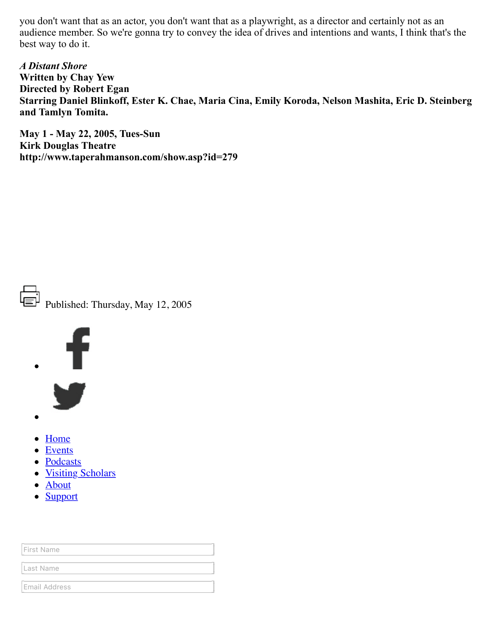you don't want that as an actor, you don't want that as a playwright, as a director and certainly not as an audience member. So we're gonna try to convey the idea of drives and intentions and wants, I think that's the best way to do it.

*A Distant Shore* **Written by Chay Yew Directed by Robert Egan Starring Daniel Blinkoff, Ester K. Chae, Maria Cina, Emily Koroda, Nelson Mashita, Eric D. Steinberg and Tamlyn Tomita.**

**May 1 - May 22, 2005, Tues-Sun Kirk Douglas Theatre http://www.taperahmanson.com/show.asp?id=279**



Published: Thursday, May 12, 2005



- 
- [Home](https://www.international.ucla.edu/ccs/home)
- [Events](https://www.international.ucla.edu/ccs/events)
- [Podcasts](https://www.international.ucla.edu/ccs/podcasts)
- [Visiting Scholars](https://www.international.ucla.edu/ccs/visitingscholars)
- [About](https://www.international.ucla.edu/ccs/about)
- [Support](https://www.international.ucla.edu/ccs/support)

| First Name    |  |  |
|---------------|--|--|
| Last Name     |  |  |
| Email Address |  |  |